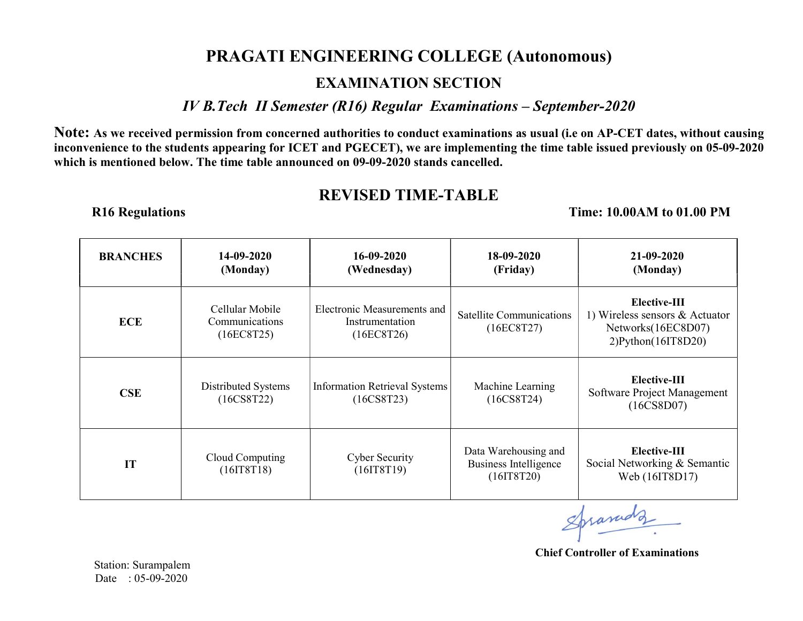## PRAGATI ENGINEERING COLLEGE (Autonomous)

## EXAMINATION SECTION

IV B.Tech II Semester (R16) Regular Examinations – September-2020

Note: As we received permission from concerned authorities to conduct examinations as usual (i.e on AP-CET dates, without causing inconvenience to the students appearing for ICET and PGECET), we are implementing the time table issued previously on 05-09-2020 which is mentioned below. The time table announced on 09-09-2020 stands cancelled.

## REVISED TIME-TABLE

R16 Regulations Time: 10.00AM to 01.00 PM

| <b>BRANCHES</b> | 14-09-2020<br>(Monday)                          | $16 - 09 - 2020$<br>(Wednesday)                              | 18-09-2020<br>(Friday)                                       | 21-09-2020<br>(Monday)                                                                             |
|-----------------|-------------------------------------------------|--------------------------------------------------------------|--------------------------------------------------------------|----------------------------------------------------------------------------------------------------|
| <b>ECE</b>      | Cellular Mobile<br>Communications<br>(16EC8T25) | Electronic Measurements and<br>Instrumentation<br>(16EC8T26) | Satellite Communications<br>(16EC8T27)                       | Elective-III<br>1) Wireless sensors $&$ Actuator<br>Networks(16EC8D07)<br>$2)$ Python $(161T8D20)$ |
| CSE             | Distributed Systems<br>$(16C$ S8T22)            | <b>Information Retrieval Systems</b><br>$(16C$ S8T23)        | Machine Learning<br>$(16C$ S8T24)                            | Elective-III<br>Software Project Management<br>(16CS8D07)                                          |
| IT              | Cloud Computing<br>(16IT8T18)                   | Cyber Security<br>(16IT8T19)                                 | Data Warehousing and<br>Business Intelligence<br>(16I T8T20) | Elective-III<br>Social Networking & Semantic<br>Web (16IT8D17)                                     |

Spranudz

Chief Controller of Examinations